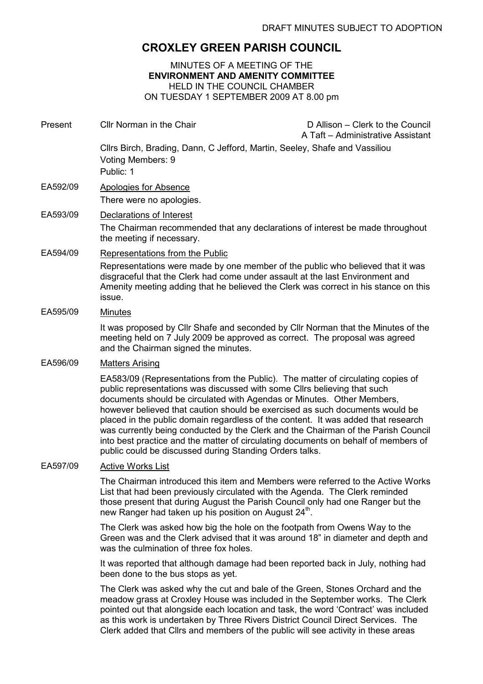## CROXLEY GREEN PARISH COUNCIL

MINUTES OF A MEETING OF THE ENVIRONMENT AND AMENITY COMMITTEE HELD IN THE COUNCIL CHAMBER ON TUESDAY 1 SEPTEMBER 2009 AT 8.00 pm

Present Cllr Norman in the Chair D Allison – Clerk to the Council A Taft – Administrative Assistant Cllrs Birch, Brading, Dann, C Jefford, Martin, Seeley, Shafe and Vassiliou Voting Members: 9 Public: 1 EA592/09 Apologies for Absence There were no apologies. EA593/09 Declarations of Interest The Chairman recommended that any declarations of interest be made throughout the meeting if necessary. EA594/09 Representations from the Public Representations were made by one member of the public who believed that it was disgraceful that the Clerk had come under assault at the last Environment and Amenity meeting adding that he believed the Clerk was correct in his stance on this issue. EA595/09 Minutes It was proposed by Cllr Shafe and seconded by Cllr Norman that the Minutes of the meeting held on 7 July 2009 be approved as correct. The proposal was agreed and the Chairman signed the minutes. EA596/09 Matters Arising EA583/09 (Representations from the Public). The matter of circulating copies of public representations was discussed with some Cllrs believing that such documents should be circulated with Agendas or Minutes. Other Members, however believed that caution should be exercised as such documents would be placed in the public domain regardless of the content. It was added that research was currently being conducted by the Clerk and the Chairman of the Parish Council into best practice and the matter of circulating documents on behalf of members of public could be discussed during Standing Orders talks. EA597/09 Active Works List The Chairman introduced this item and Members were referred to the Active Works List that had been previously circulated with the Agenda. The Clerk reminded those present that during August the Parish Council only had one Ranger but the new Ranger had taken up his position on August 24<sup>th</sup>. The Clerk was asked how big the hole on the footpath from Owens Way to the Green was and the Clerk advised that it was around 18" in diameter and depth and was the culmination of three fox holes. It was reported that although damage had been reported back in July, nothing had been done to the bus stops as yet.

> The Clerk was asked why the cut and bale of the Green, Stones Orchard and the meadow grass at Croxley House was included in the September works. The Clerk pointed out that alongside each location and task, the word 'Contract' was included as this work is undertaken by Three Rivers District Council Direct Services. The Clerk added that Cllrs and members of the public will see activity in these areas